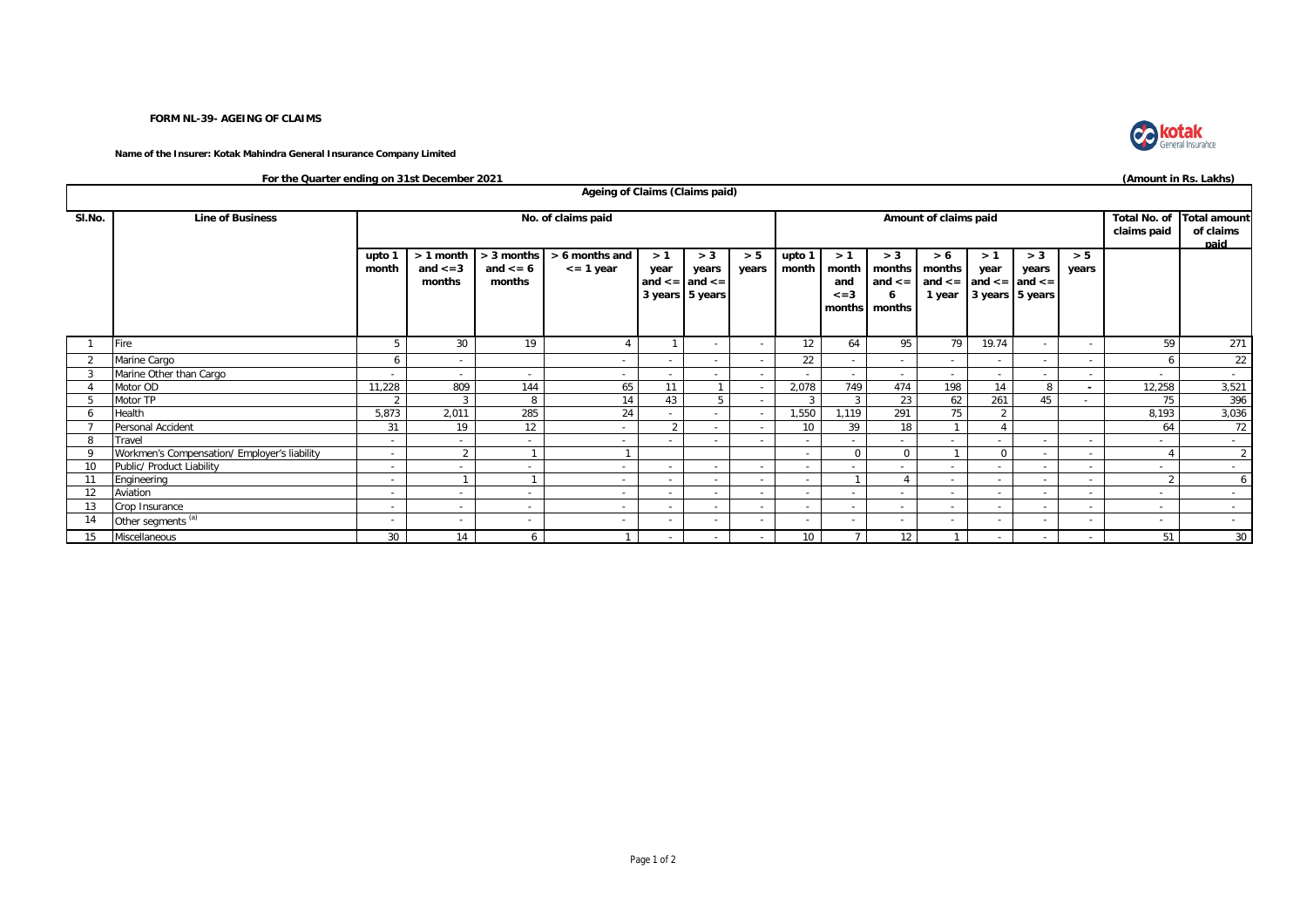### **FORM NL-39- AGEING OF CLAIMS**

### **Name of the Insurer: Kotak Mahindra General Insurance Company Limited**